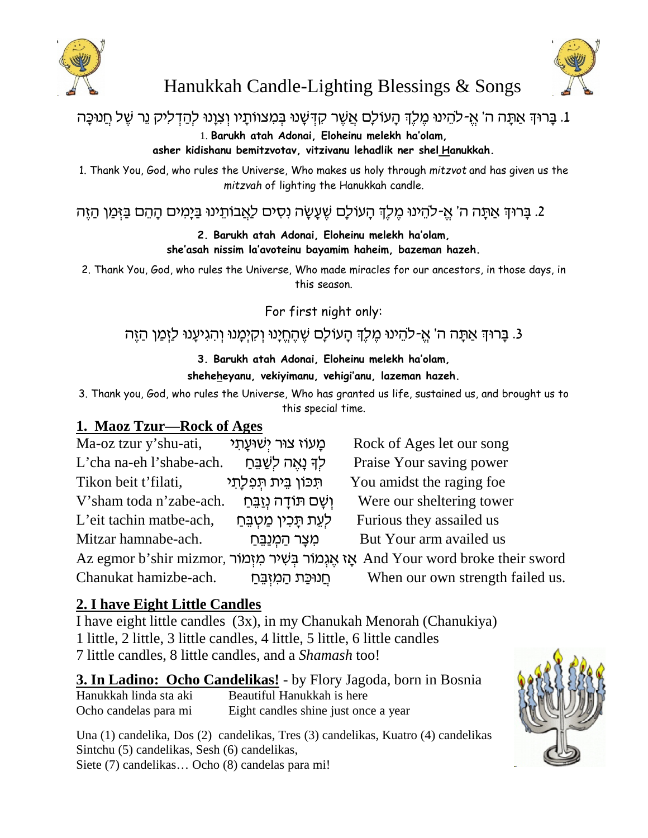



# Hanukkah Candle-Lighting Blessings & Songs

# . בַּרוּךְ אֲתָה ה' אֵ-להֵינוּ מֵלֵךְ הַעוֹלַם אֲשֵׁר קִדְּשָׁנוּ בִּמִצווֹתַיו וְצְוָנוּ לִהַדְלִיק נֵר שֵׁל חֲנוּכַּה

1. **Barukh atah Adonai, Eloheinu melekh ha'olam,**

**asher kidishanu bemitzvotav, vitzivanu lehadlik ner shel Hanukkah.**

1. Thank You, God, who rules the Universe, Who makes us holy through *mitzvot* and has given us the *mitzvah* of lighting the Hanukkah candle.

. בַּרוּךְ אַתָּה ה' אֵ-להֵינוּ מֶלֶךְ הָעוֹלָם שֵׁעֲשָׂה נְסִים לַאֲבוֹתֵינוּ בַּיָּמִים הָהֵם בַּזְּמַן הַזֵּה

**2. Barukh atah Adonai, Eloheinu melekh ha'olam, she'asah nissim la'avoteinu bayamim haheim, bazeman hazeh.**

2. Thank You, God, who rules the Universe, Who made miracles for our ancestors, in those days, in this season.

For first night only:

# . בַּרוּךְ אַתָּה ה' אֱ-לֹהֵינוּ מֶלֶךְ הָעוֹלָם שֶׁהֶחֱיָנוּ וְקִיְמָנוּ וְהִגִיעָנוּ לַזְמַן הַזֶּה .3

### **3. Barukh atah Adonai, Eloheinu melekh ha'olam, sheheheyanu, vekiyimanu, vehigi'anu, lazeman hazeh.**

3. Thank you, God, who rules the Universe, Who has granted us life, sustained us, and brought us to this special time.

### **1. Maoz Tzur—Rock of Ages**

Ma-oz tzur y'shu-ati, **iz** cyi**k** cy chuş cizmiş cizmiş me L'cha na-eh l'shabe-ach. g©A¥W© l§ d`¤¨p Ll§ Praise Your saving power Tikon beit t'filati,  $\blacksquare$ תְכוֹן בֵית תַפְלַתֵי You amidst the raging foe V'sham toda n'zabe-ach. g©A¥f©p§ dc¨FY mW¨ e§ Were our sheltering tower L'eit tachin matbe-ach, *ל*עֱת תַּכִין מַטְבֶּחַ Mitzar hamnabe-ach. g©A¥p©n§ d© xv¨n¦ But Your arm availed us Az egmor b'shir mizmor, אֲגְמוֹר בְּשִׁיר מִזְמוֹר  $\lambda$ And Your word broke their sword Chanukat hamizbe-ach. g©A¥f§n¦ d© zM©Epg£ When our own strength failed us.

# **2. I have Eight Little Candles**

I have eight little candles (3x), in my Chanukah Menorah (Chanukiya) 1 little, 2 little, 3 little candles, 4 little, 5 little, 6 little candles 7 little candles, 8 little candles, and a *Shamash* too!

**3. In Ladino: Ocho Candelikas!** - by Flory Jagoda, born in Bosnia Hanukkah linda sta aki Beautiful Hanukkah is here Ocho candelas para mi Eight candles shine just once a year

Una (1) candelika, Dos (2) candelikas, Tres (3) candelikas, Kuatro (4) candelikas Sintchu (5) candelikas, Sesh (6) candelikas, Siete (7) candelikas… Ocho (8) candelas para mi!